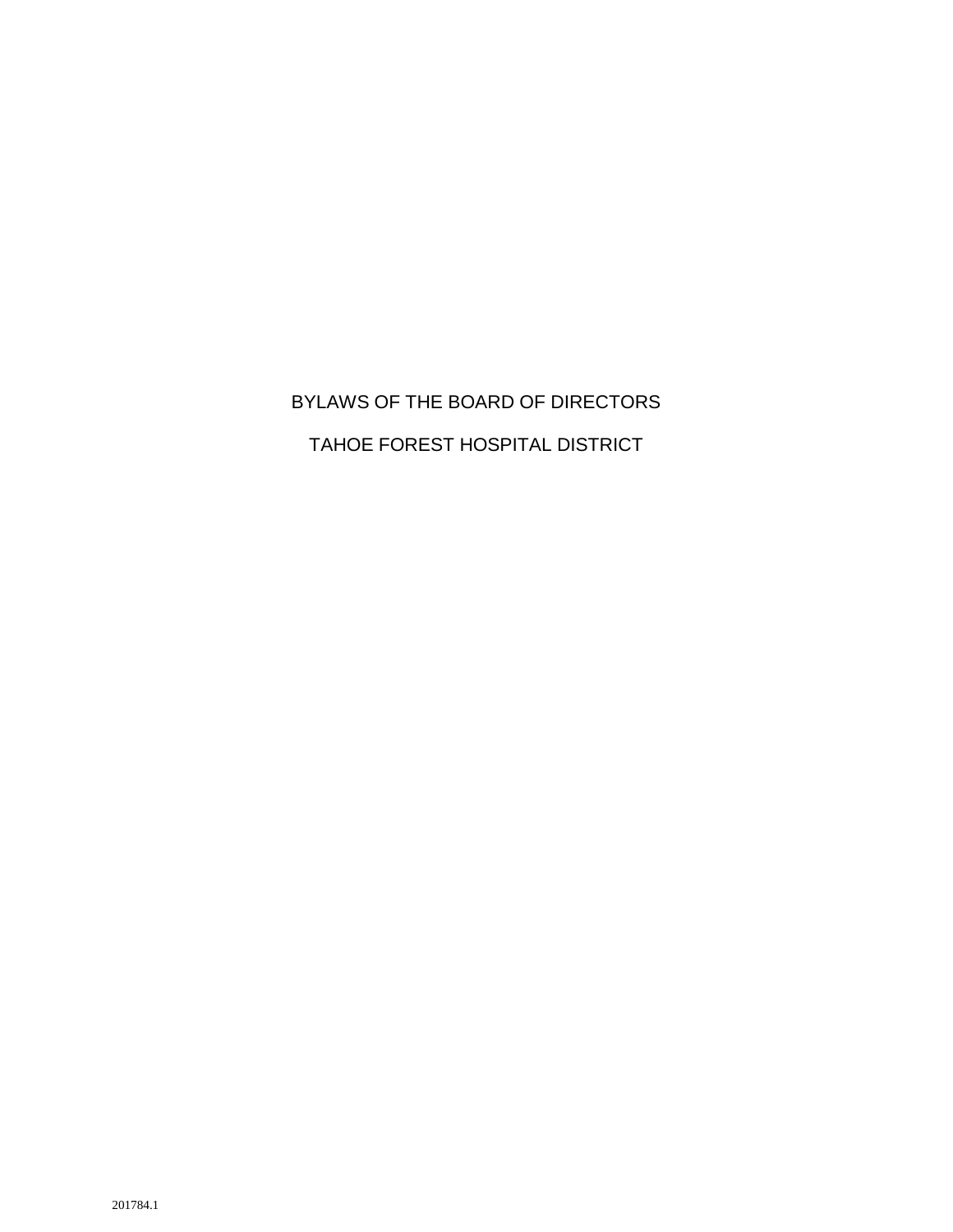# BYLAWS OF THE BOARD OF DIRECTORS TAHOE FOREST HOSPITAL DISTRICT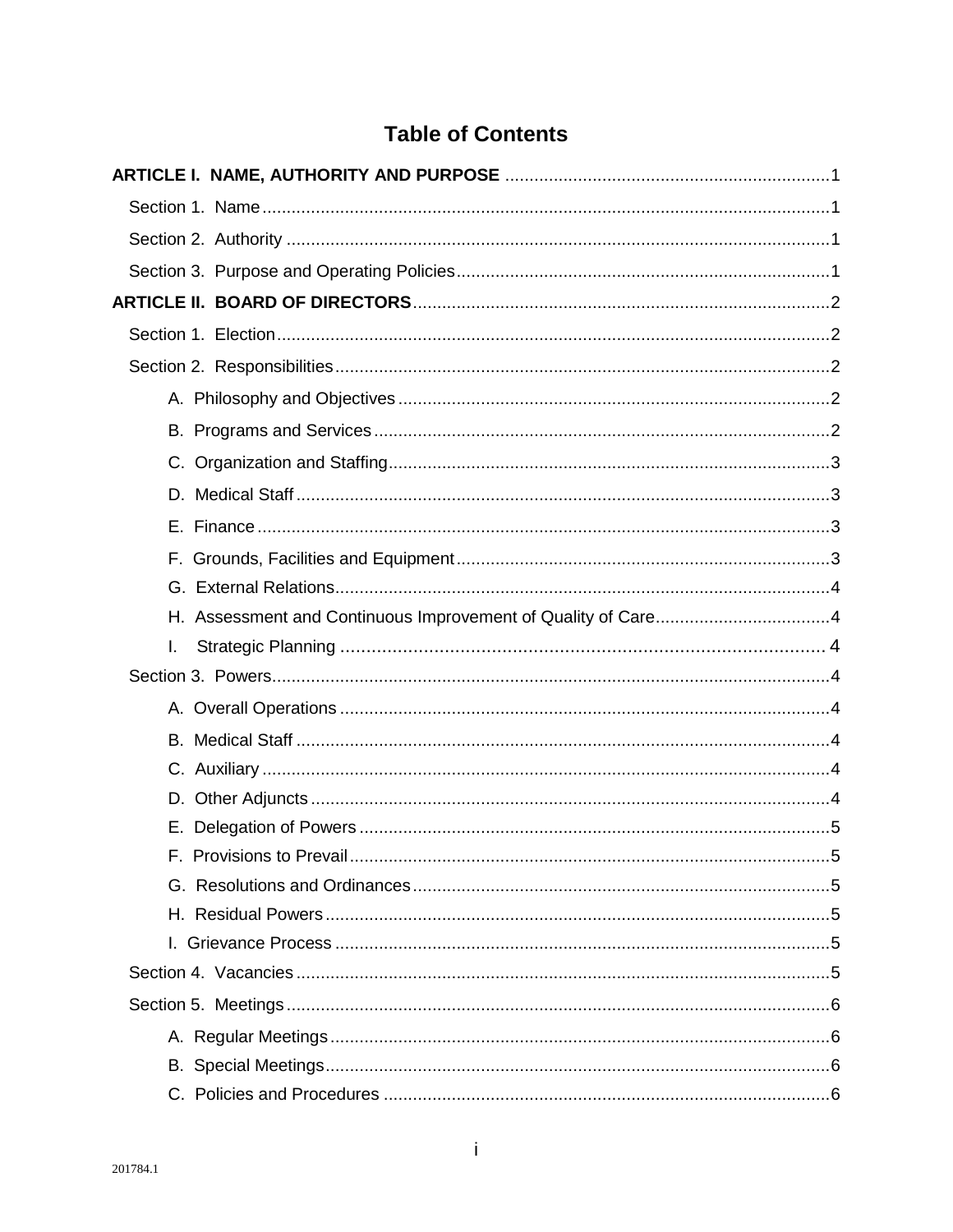## **Table of Contents**

| I.                            |
|-------------------------------|
|                               |
|                               |
|                               |
|                               |
|                               |
|                               |
| F. Provisions to Prevail<br>5 |
|                               |
|                               |
|                               |
|                               |
|                               |
|                               |
|                               |
|                               |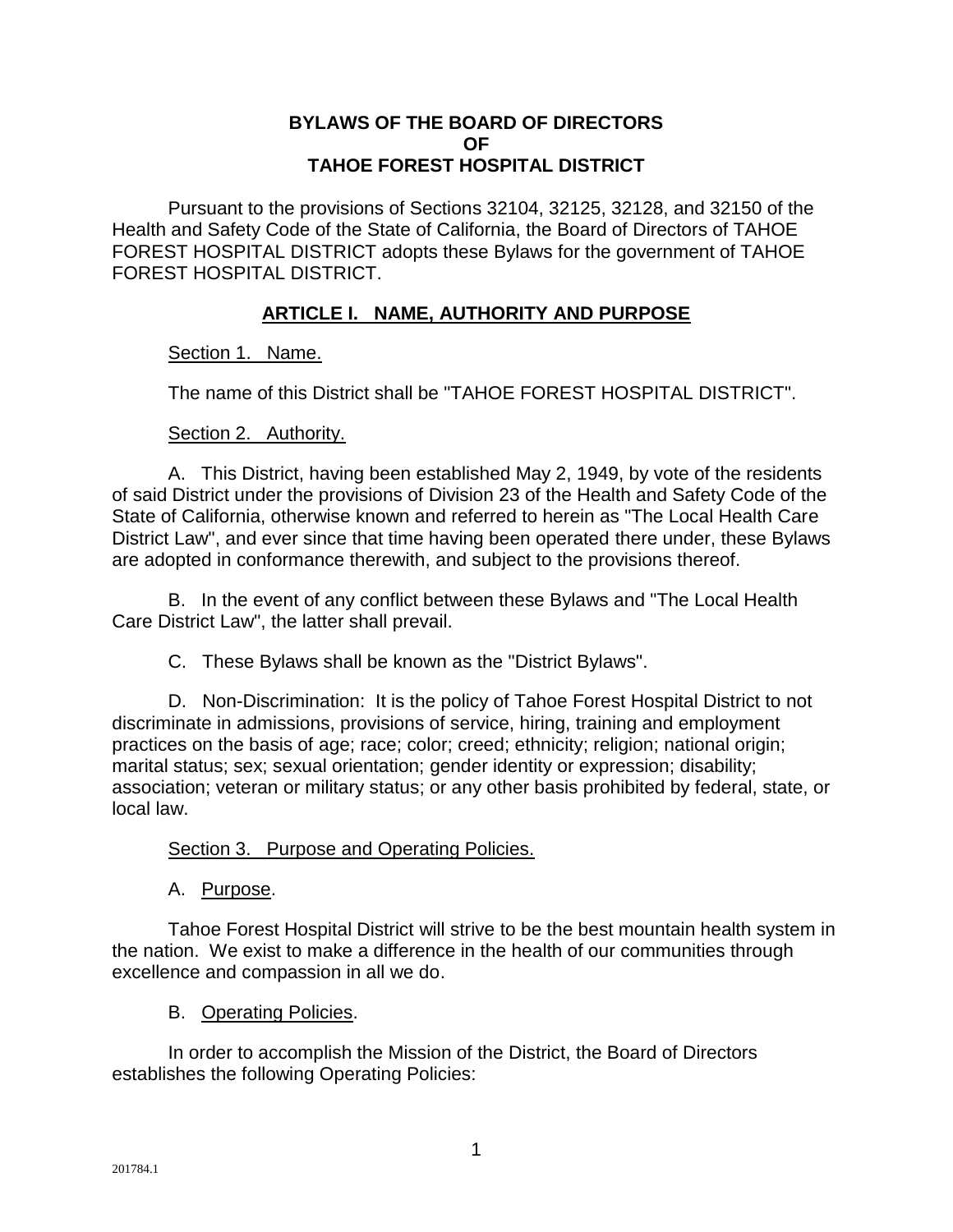#### **BYLAWS OF THE BOARD OF DIRECTORS OF TAHOE FOREST HOSPITAL DISTRICT**

Pursuant to the provisions of Sections 32104, 32125, 32128, and 32150 of the Health and Safety Code of the State of California, the Board of Directors of TAHOE FOREST HOSPITAL DISTRICT adopts these Bylaws for the government of TAHOE FOREST HOSPITAL DISTRICT.

#### **ARTICLE I. NAME, AUTHORITY AND PURPOSE**

#### Section 1. Name.

The name of this District shall be "TAHOE FOREST HOSPITAL DISTRICT".

#### Section 2. Authority.

A. This District, having been established May 2, 1949, by vote of the residents of said District under the provisions of Division 23 of the Health and Safety Code of the State of California, otherwise known and referred to herein as "The Local Health Care District Law", and ever since that time having been operated there under, these Bylaws are adopted in conformance therewith, and subject to the provisions thereof.

B. In the event of any conflict between these Bylaws and "The Local Health Care District Law", the latter shall prevail.

C. These Bylaws shall be known as the "District Bylaws".

D. Non-Discrimination: It is the policy of Tahoe Forest Hospital District to not discriminate in admissions, provisions of service, hiring, training and employment practices on the basis of age; race; color; creed; ethnicity; religion; national origin; marital status; sex; sexual orientation; gender identity or expression; disability; association; veteran or military status; or any other basis prohibited by federal, state, or local law.

#### Section 3. Purpose and Operating Policies.

#### A. Purpose.

Tahoe Forest Hospital District will strive to be the best mountain health system in the nation. We exist to make a difference in the health of our communities through excellence and compassion in all we do.

#### B. Operating Policies.

In order to accomplish the Mission of the District, the Board of Directors establishes the following Operating Policies: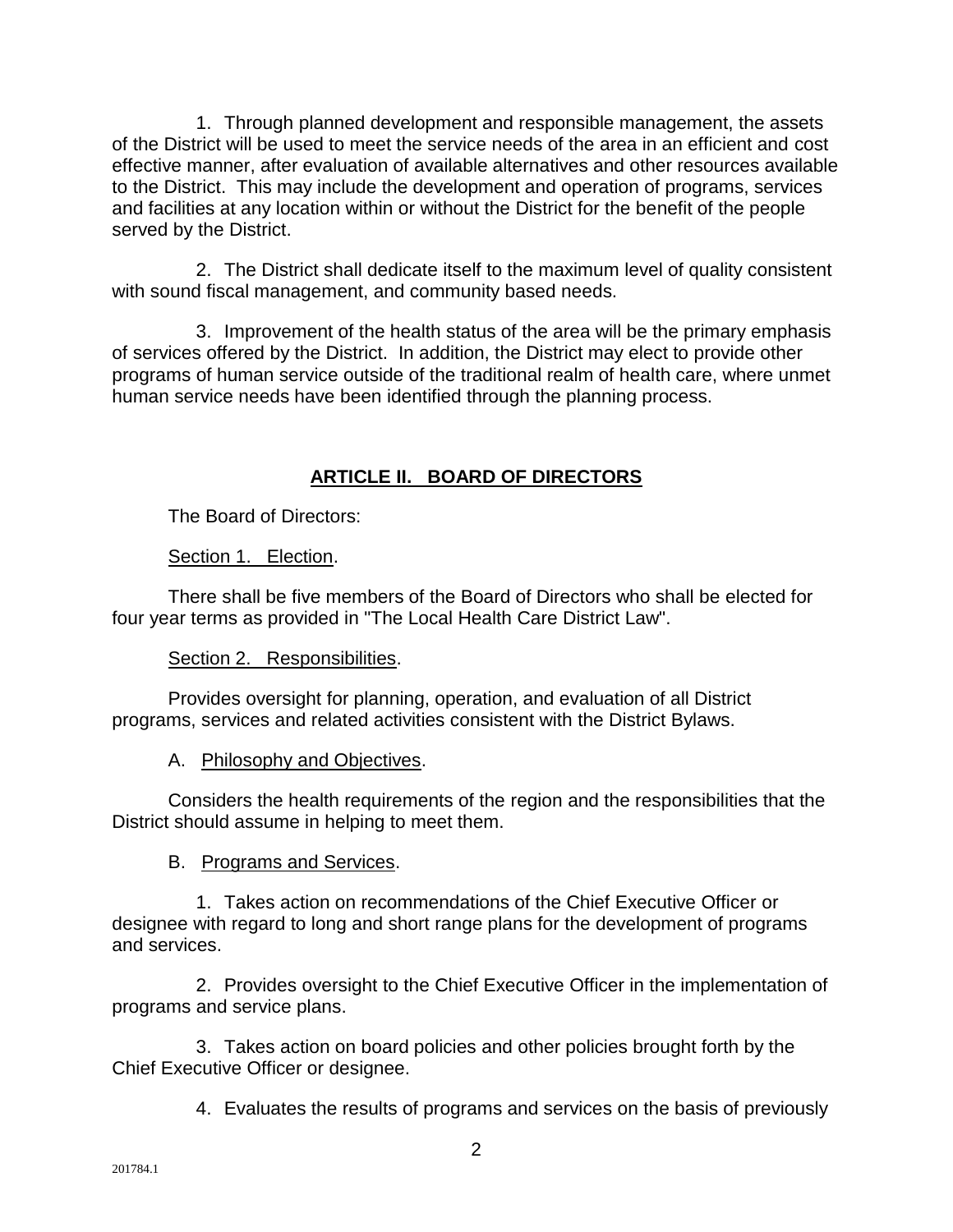1. Through planned development and responsible management, the assets of the District will be used to meet the service needs of the area in an efficient and cost effective manner, after evaluation of available alternatives and other resources available to the District. This may include the development and operation of programs, services and facilities at any location within or without the District for the benefit of the people served by the District.

2. The District shall dedicate itself to the maximum level of quality consistent with sound fiscal management, and community based needs.

3. Improvement of the health status of the area will be the primary emphasis of services offered by the District. In addition, the District may elect to provide other programs of human service outside of the traditional realm of health care, where unmet human service needs have been identified through the planning process.

## **ARTICLE II. BOARD OF DIRECTORS**

The Board of Directors:

#### Section 1. Election.

There shall be five members of the Board of Directors who shall be elected for four year terms as provided in "The Local Health Care District Law".

#### Section 2. Responsibilities.

Provides oversight for planning, operation, and evaluation of all District programs, services and related activities consistent with the District Bylaws.

#### A. Philosophy and Objectives.

Considers the health requirements of the region and the responsibilities that the District should assume in helping to meet them.

#### B. Programs and Services.

1. Takes action on recommendations of the Chief Executive Officer or designee with regard to long and short range plans for the development of programs and services.

2. Provides oversight to the Chief Executive Officer in the implementation of programs and service plans.

3. Takes action on board policies and other policies brought forth by the Chief Executive Officer or designee.

4. Evaluates the results of programs and services on the basis of previously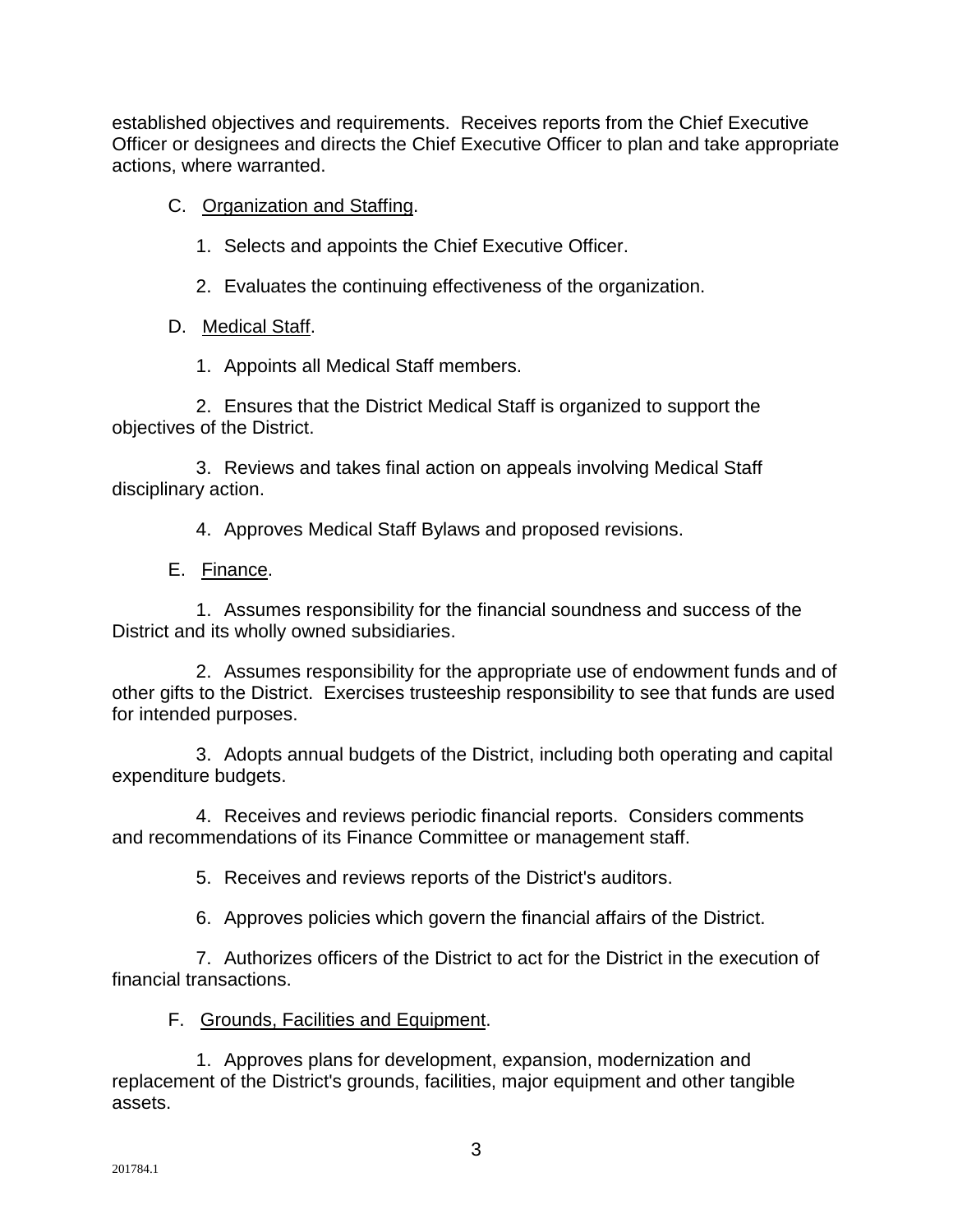established objectives and requirements. Receives reports from the Chief Executive Officer or designees and directs the Chief Executive Officer to plan and take appropriate actions, where warranted.

C. Organization and Staffing.

1. Selects and appoints the Chief Executive Officer.

2. Evaluates the continuing effectiveness of the organization.

D. Medical Staff.

1. Appoints all Medical Staff members.

2. Ensures that the District Medical Staff is organized to support the objectives of the District.

3. Reviews and takes final action on appeals involving Medical Staff disciplinary action.

4. Approves Medical Staff Bylaws and proposed revisions.

E. Finance.

1. Assumes responsibility for the financial soundness and success of the District and its wholly owned subsidiaries.

2. Assumes responsibility for the appropriate use of endowment funds and of other gifts to the District. Exercises trusteeship responsibility to see that funds are used for intended purposes.

3. Adopts annual budgets of the District, including both operating and capital expenditure budgets.

4. Receives and reviews periodic financial reports. Considers comments and recommendations of its Finance Committee or management staff.

5. Receives and reviews reports of the District's auditors.

6. Approves policies which govern the financial affairs of the District.

7. Authorizes officers of the District to act for the District in the execution of financial transactions.

F. Grounds, Facilities and Equipment.

1. Approves plans for development, expansion, modernization and replacement of the District's grounds, facilities, major equipment and other tangible assets.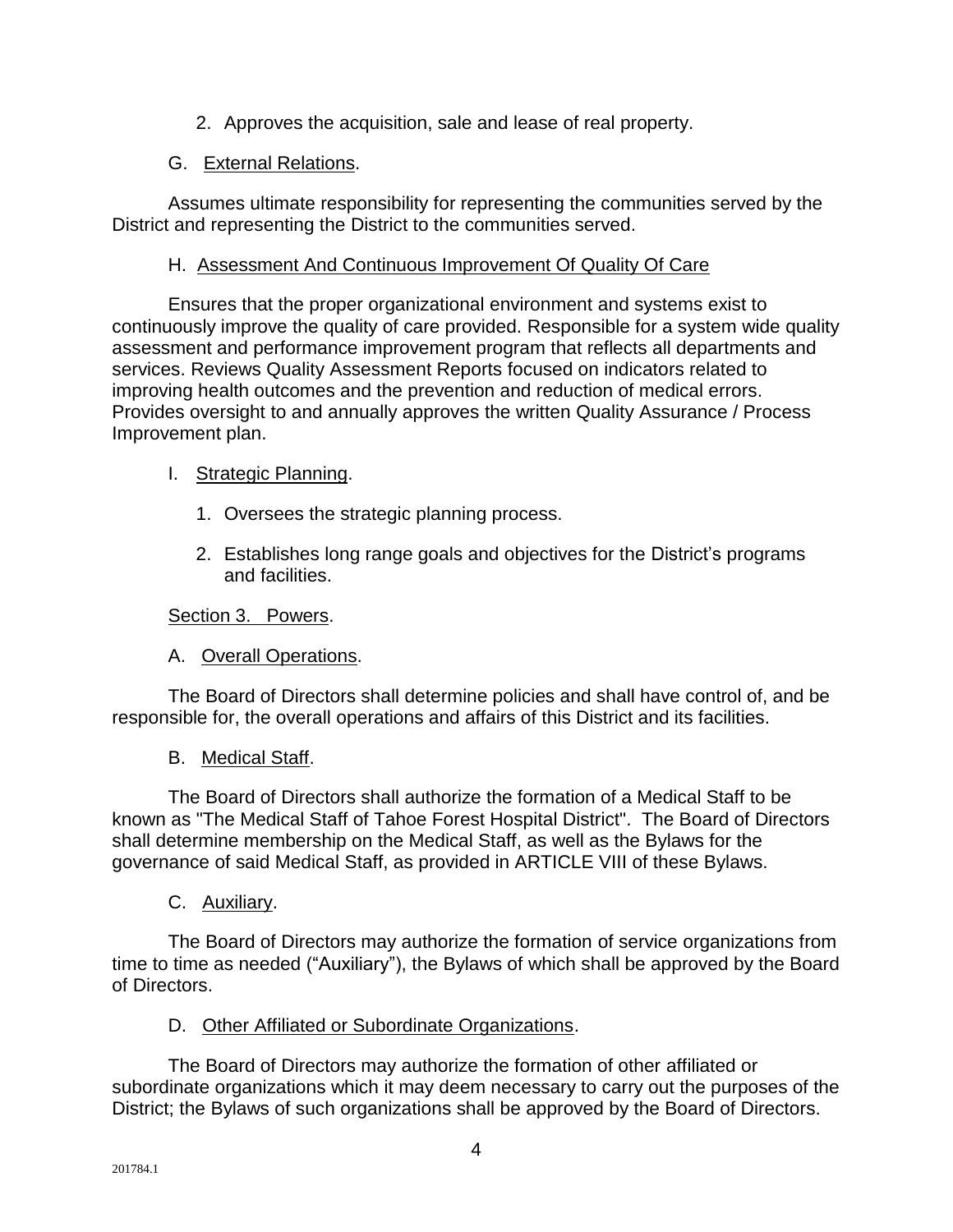2. Approves the acquisition, sale and lease of real property.

#### G. External Relations.

Assumes ultimate responsibility for representing the communities served by the District and representing the District to the communities served.

#### H. Assessment And Continuous Improvement Of Quality Of Care

Ensures that the proper organizational environment and systems exist to continuously improve the quality of care provided. Responsible for a system wide quality assessment and performance improvement program that reflects all departments and services. Reviews Quality Assessment Reports focused on indicators related to improving health outcomes and the prevention and reduction of medical errors. Provides oversight to and annually approves the written Quality Assurance / Process Improvement plan.

#### I. Strategic Planning.

- 1. Oversees the strategic planning process.
- 2. Establishes long range goals and objectives for the District's programs and facilities.

#### Section 3. Powers.

A. Overall Operations.

The Board of Directors shall determine policies and shall have control of, and be responsible for, the overall operations and affairs of this District and its facilities.

B. Medical Staff.

The Board of Directors shall authorize the formation of a Medical Staff to be known as "The Medical Staff of Tahoe Forest Hospital District". The Board of Directors shall determine membership on the Medical Staff, as well as the Bylaws for the governance of said Medical Staff, as provided in ARTICLE VIII of these Bylaws.

C. Auxiliary.

The Board of Directors may authorize the formation of service organization*s* from time to time as needed ("Auxiliary"), the Bylaws of which shall be approved by the Board of Directors.

D. Other Affiliated or Subordinate Organizations.

The Board of Directors may authorize the formation of other affiliated or subordinate organizations which it may deem necessary to carry out the purposes of the District; the Bylaws of such organizations shall be approved by the Board of Directors.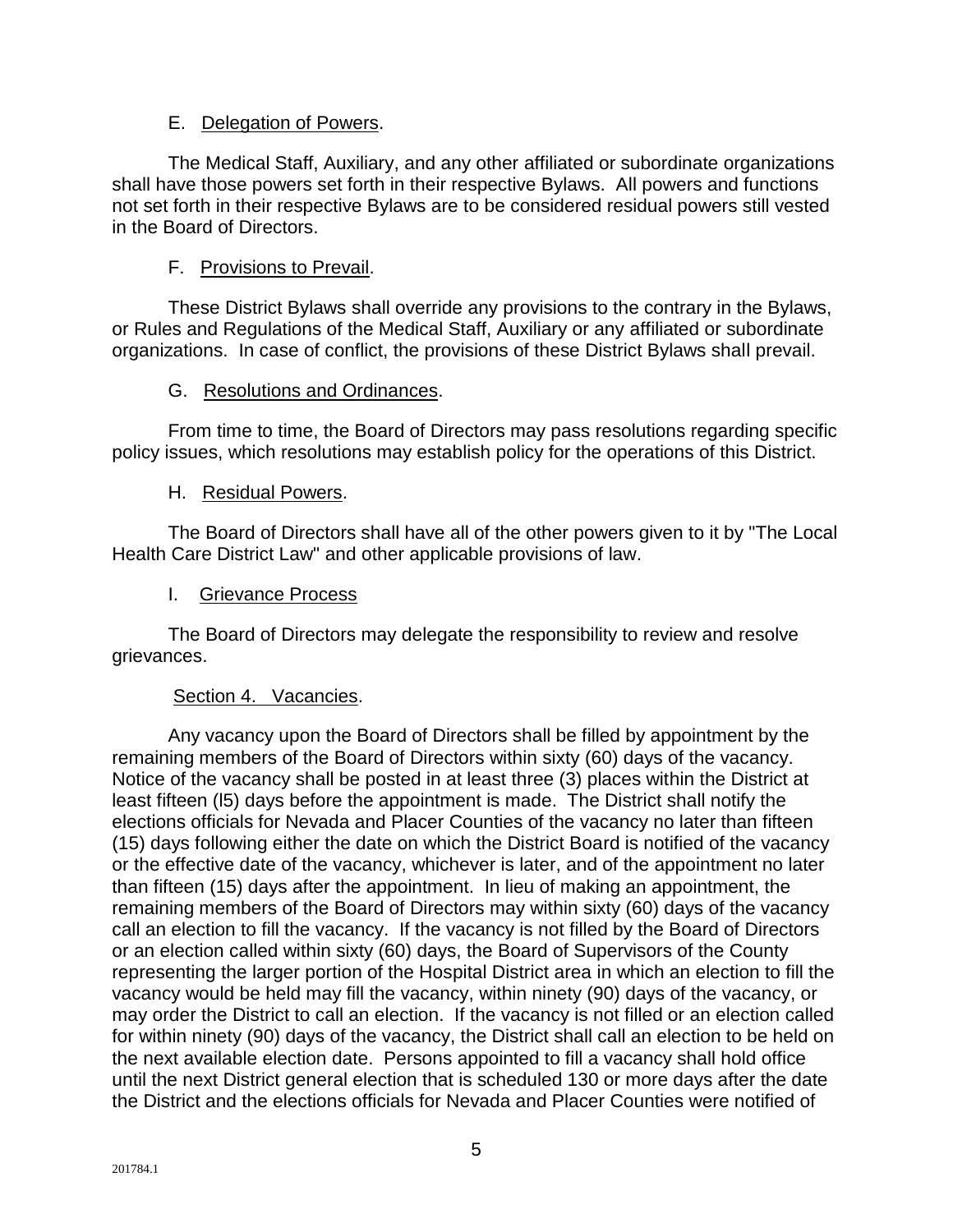#### E. Delegation of Powers.

The Medical Staff, Auxiliary, and any other affiliated or subordinate organizations shall have those powers set forth in their respective Bylaws. All powers and functions not set forth in their respective Bylaws are to be considered residual powers still vested in the Board of Directors.

#### F. Provisions to Prevail.

These District Bylaws shall override any provisions to the contrary in the Bylaws, or Rules and Regulations of the Medical Staff, Auxiliary or any affiliated or subordinate organizations. In case of conflict, the provisions of these District Bylaws shall prevail.

#### G. Resolutions and Ordinances.

From time to time, the Board of Directors may pass resolutions regarding specific policy issues, which resolutions may establish policy for the operations of this District.

#### H. Residual Powers.

The Board of Directors shall have all of the other powers given to it by "The Local Health Care District Law" and other applicable provisions of law.

#### I. Grievance Process

The Board of Directors may delegate the responsibility to review and resolve grievances.

#### Section 4. Vacancies.

Any vacancy upon the Board of Directors shall be filled by appointment by the remaining members of the Board of Directors within sixty (60) days of the vacancy. Notice of the vacancy shall be posted in at least three (3) places within the District at least fifteen (l5) days before the appointment is made. The District shall notify the elections officials for Nevada and Placer Counties of the vacancy no later than fifteen (15) days following either the date on which the District Board is notified of the vacancy or the effective date of the vacancy, whichever is later, and of the appointment no later than fifteen (15) days after the appointment. In lieu of making an appointment, the remaining members of the Board of Directors may within sixty (60) days of the vacancy call an election to fill the vacancy. If the vacancy is not filled by the Board of Directors or an election called within sixty (60) days, the Board of Supervisors of the County representing the larger portion of the Hospital District area in which an election to fill the vacancy would be held may fill the vacancy, within ninety (90) days of the vacancy, or may order the District to call an election. If the vacancy is not filled or an election called for within ninety (90) days of the vacancy, the District shall call an election to be held on the next available election date. Persons appointed to fill a vacancy shall hold office until the next District general election that is scheduled 130 or more days after the date the District and the elections officials for Nevada and Placer Counties were notified of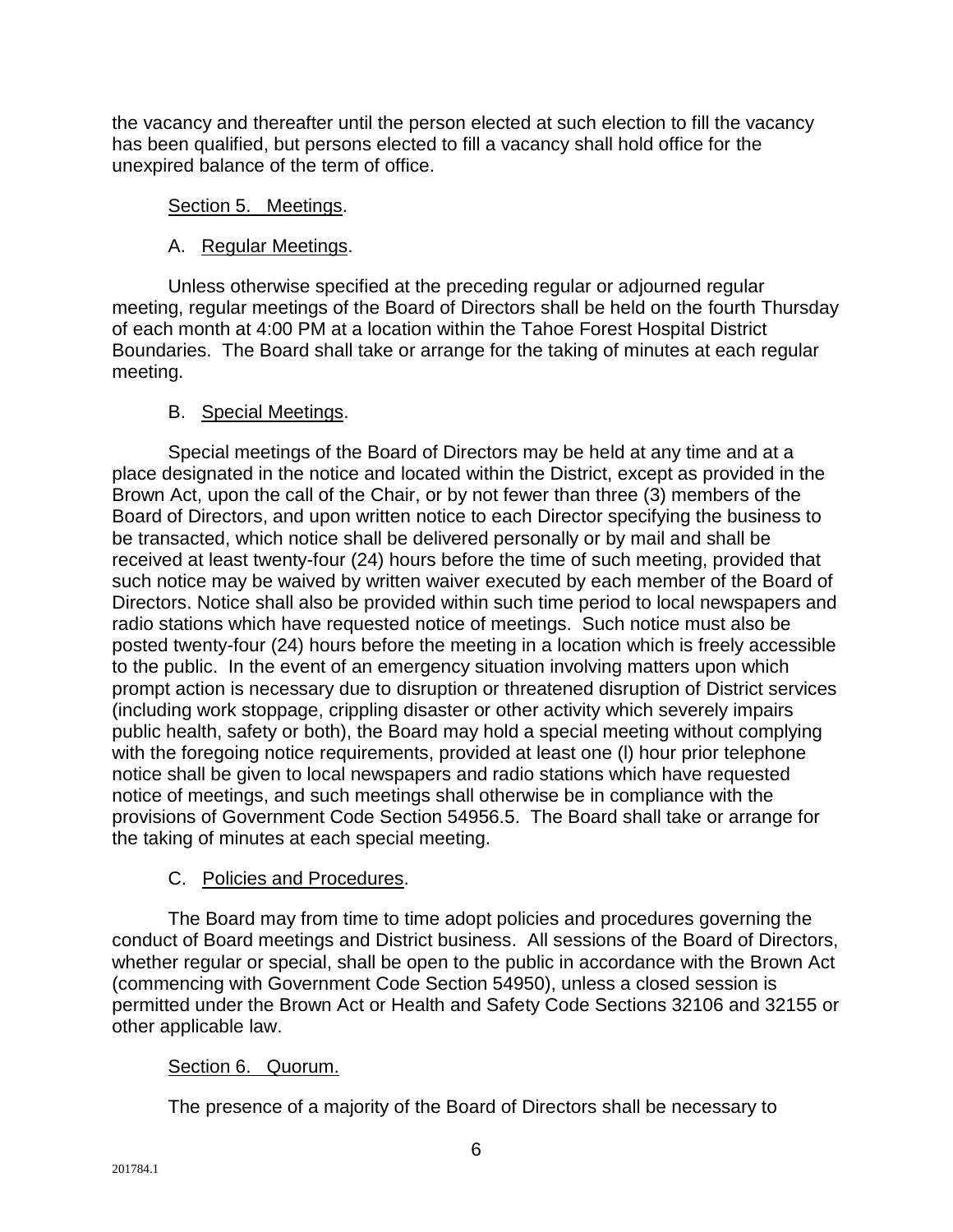the vacancy and thereafter until the person elected at such election to fill the vacancy has been qualified, but persons elected to fill a vacancy shall hold office for the unexpired balance of the term of office.

#### Section 5. Meetings.

## A. Regular Meetings.

Unless otherwise specified at the preceding regular or adjourned regular meeting, regular meetings of the Board of Directors shall be held on the fourth Thursday of each month at 4:00 PM at a location within the Tahoe Forest Hospital District Boundaries. The Board shall take or arrange for the taking of minutes at each regular meeting.

#### B. Special Meetings.

Special meetings of the Board of Directors may be held at any time and at a place designated in the notice and located within the District, except as provided in the Brown Act, upon the call of the Chair, or by not fewer than three (3) members of the Board of Directors, and upon written notice to each Director specifying the business to be transacted, which notice shall be delivered personally or by mail and shall be received at least twenty-four (24) hours before the time of such meeting, provided that such notice may be waived by written waiver executed by each member of the Board of Directors. Notice shall also be provided within such time period to local newspapers and radio stations which have requested notice of meetings. Such notice must also be posted twenty-four (24) hours before the meeting in a location which is freely accessible to the public. In the event of an emergency situation involving matters upon which prompt action is necessary due to disruption or threatened disruption of District services (including work stoppage, crippling disaster or other activity which severely impairs public health, safety or both), the Board may hold a special meeting without complying with the foregoing notice requirements, provided at least one (l) hour prior telephone notice shall be given to local newspapers and radio stations which have requested notice of meetings, and such meetings shall otherwise be in compliance with the provisions of Government Code Section 54956.5. The Board shall take or arrange for the taking of minutes at each special meeting.

## C. Policies and Procedures.

The Board may from time to time adopt policies and procedures governing the conduct of Board meetings and District business. All sessions of the Board of Directors, whether regular or special, shall be open to the public in accordance with the Brown Act (commencing with Government Code Section 54950), unless a closed session is permitted under the Brown Act or Health and Safety Code Sections 32106 and 32155 or other applicable law.

## Section 6. Quorum.

The presence of a majority of the Board of Directors shall be necessary to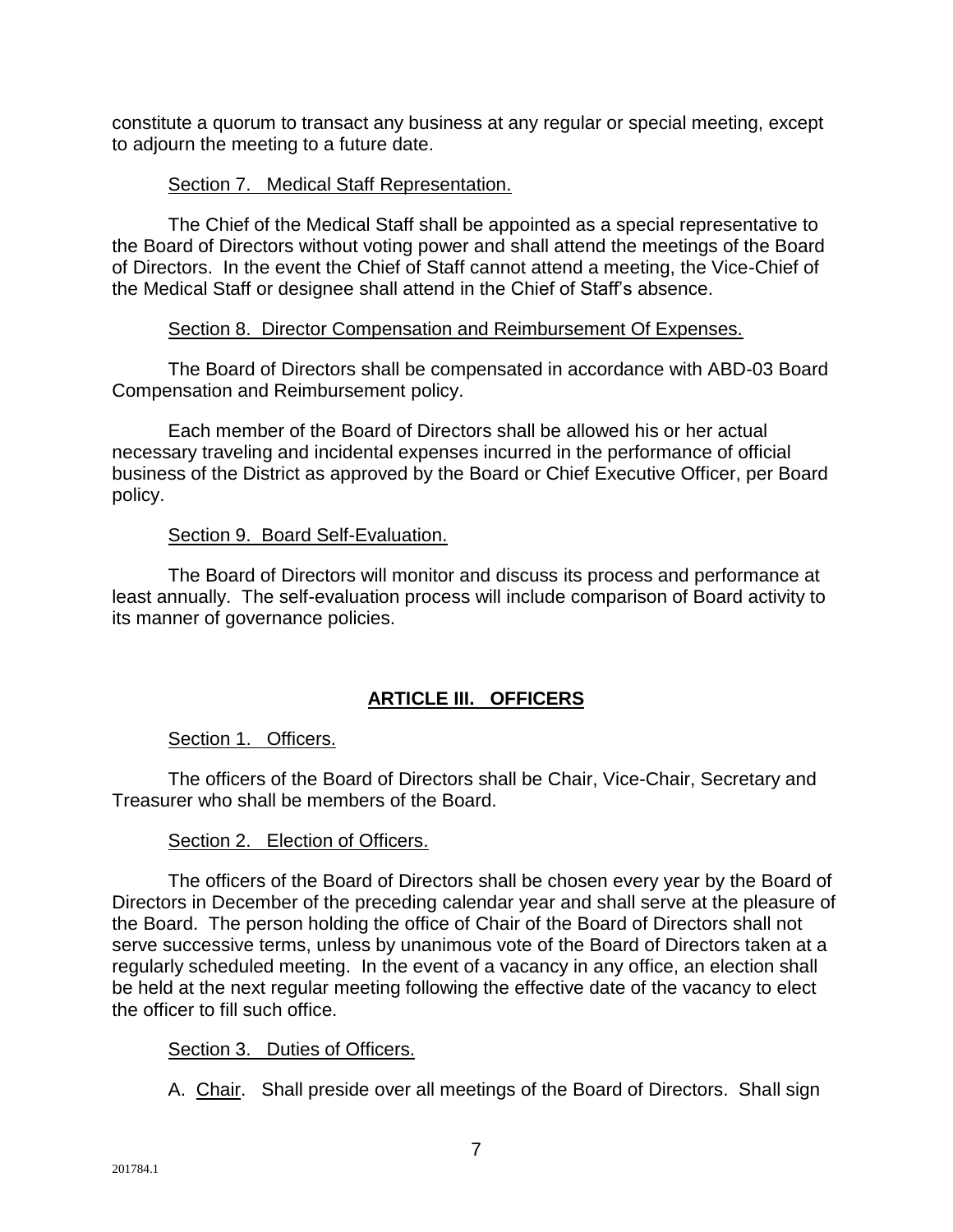constitute a quorum to transact any business at any regular or special meeting, except to adjourn the meeting to a future date.

#### Section 7. Medical Staff Representation.

The Chief of the Medical Staff shall be appointed as a special representative to the Board of Directors without voting power and shall attend the meetings of the Board of Directors. In the event the Chief of Staff cannot attend a meeting, the Vice-Chief of the Medical Staff or designee shall attend in the Chief of Staff's absence.

#### Section 8. Director Compensation and Reimbursement Of Expenses.

The Board of Directors shall be compensated in accordance with ABD-03 Board Compensation and Reimbursement policy.

Each member of the Board of Directors shall be allowed his or her actual necessary traveling and incidental expenses incurred in the performance of official business of the District as approved by the Board or Chief Executive Officer, per Board policy.

#### Section 9. Board Self-Evaluation.

The Board of Directors will monitor and discuss its process and performance at least annually. The self-evaluation process will include comparison of Board activity to its manner of governance policies.

#### **ARTICLE III. OFFICERS**

#### Section 1. Officers.

The officers of the Board of Directors shall be Chair, Vice-Chair, Secretary and Treasurer who shall be members of the Board.

#### Section 2. Election of Officers.

The officers of the Board of Directors shall be chosen every year by the Board of Directors in December of the preceding calendar year and shall serve at the pleasure of the Board. The person holding the office of Chair of the Board of Directors shall not serve successive terms, unless by unanimous vote of the Board of Directors taken at a regularly scheduled meeting. In the event of a vacancy in any office, an election shall be held at the next regular meeting following the effective date of the vacancy to elect the officer to fill such office.

#### Section 3. Duties of Officers.

A. Chair. Shall preside over all meetings of the Board of Directors. Shall sign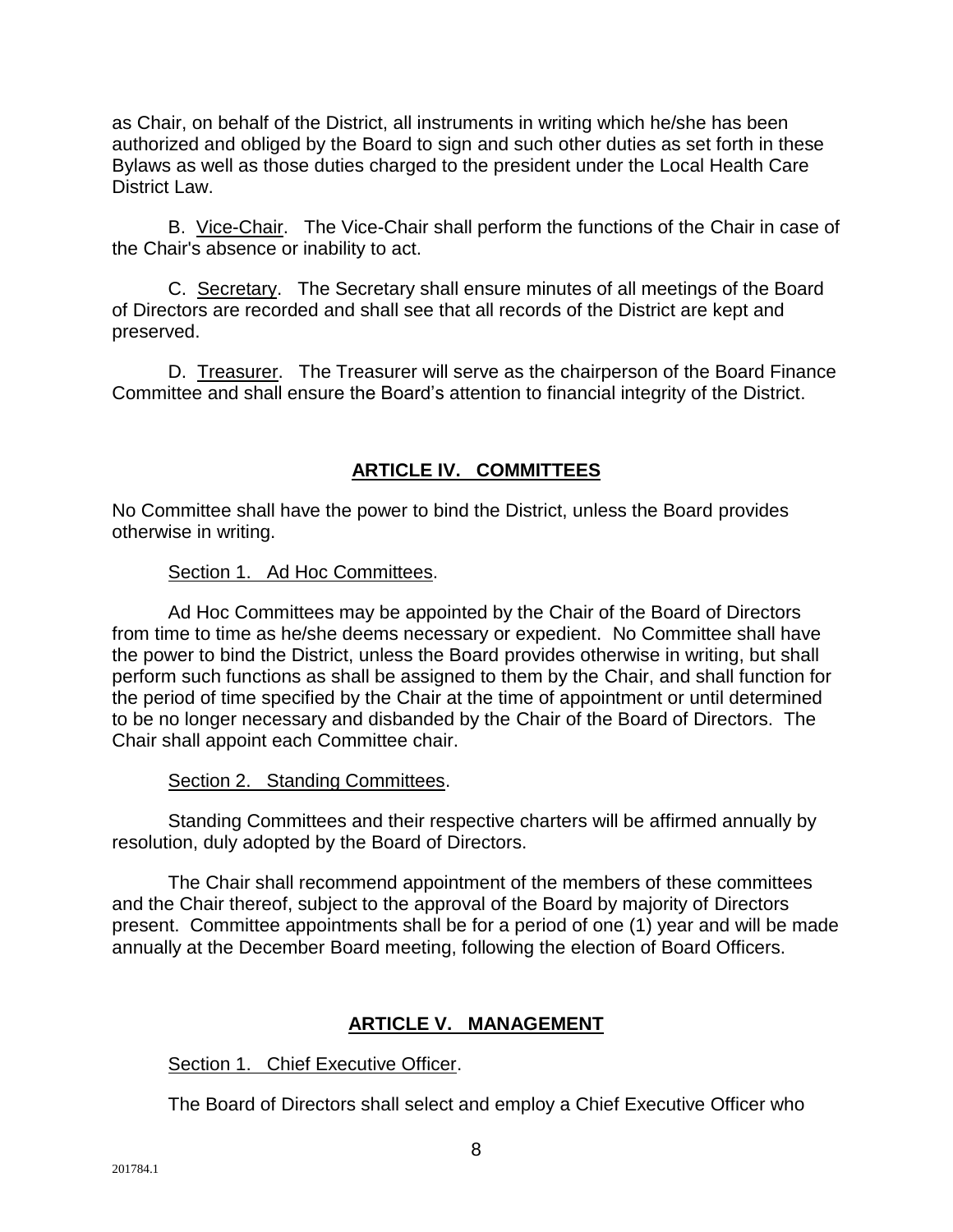as Chair, on behalf of the District, all instruments in writing which he/she has been authorized and obliged by the Board to sign and such other duties as set forth in these Bylaws as well as those duties charged to the president under the Local Health Care District Law.

B. Vice-Chair. The Vice-Chair shall perform the functions of the Chair in case of the Chair's absence or inability to act.

C. Secretary. The Secretary shall ensure minutes of all meetings of the Board of Directors are recorded and shall see that all records of the District are kept and preserved.

D. Treasurer. The Treasurer will serve as the chairperson of the Board Finance Committee and shall ensure the Board's attention to financial integrity of the District.

#### **ARTICLE IV. COMMITTEES**

No Committee shall have the power to bind the District, unless the Board provides otherwise in writing.

#### Section 1. Ad Hoc Committees.

Ad Hoc Committees may be appointed by the Chair of the Board of Directors from time to time as he/she deems necessary or expedient. No Committee shall have the power to bind the District, unless the Board provides otherwise in writing, but shall perform such functions as shall be assigned to them by the Chair, and shall function for the period of time specified by the Chair at the time of appointment or until determined to be no longer necessary and disbanded by the Chair of the Board of Directors. The Chair shall appoint each Committee chair.

#### Section 2. Standing Committees.

Standing Committees and their respective charters will be affirmed annually by resolution, duly adopted by the Board of Directors.

The Chair shall recommend appointment of the members of these committees and the Chair thereof, subject to the approval of the Board by majority of Directors present. Committee appointments shall be for a period of one (1) year and will be made annually at the December Board meeting, following the election of Board Officers.

#### **ARTICLE V. MANAGEMENT**

#### Section 1. Chief Executive Officer.

The Board of Directors shall select and employ a Chief Executive Officer who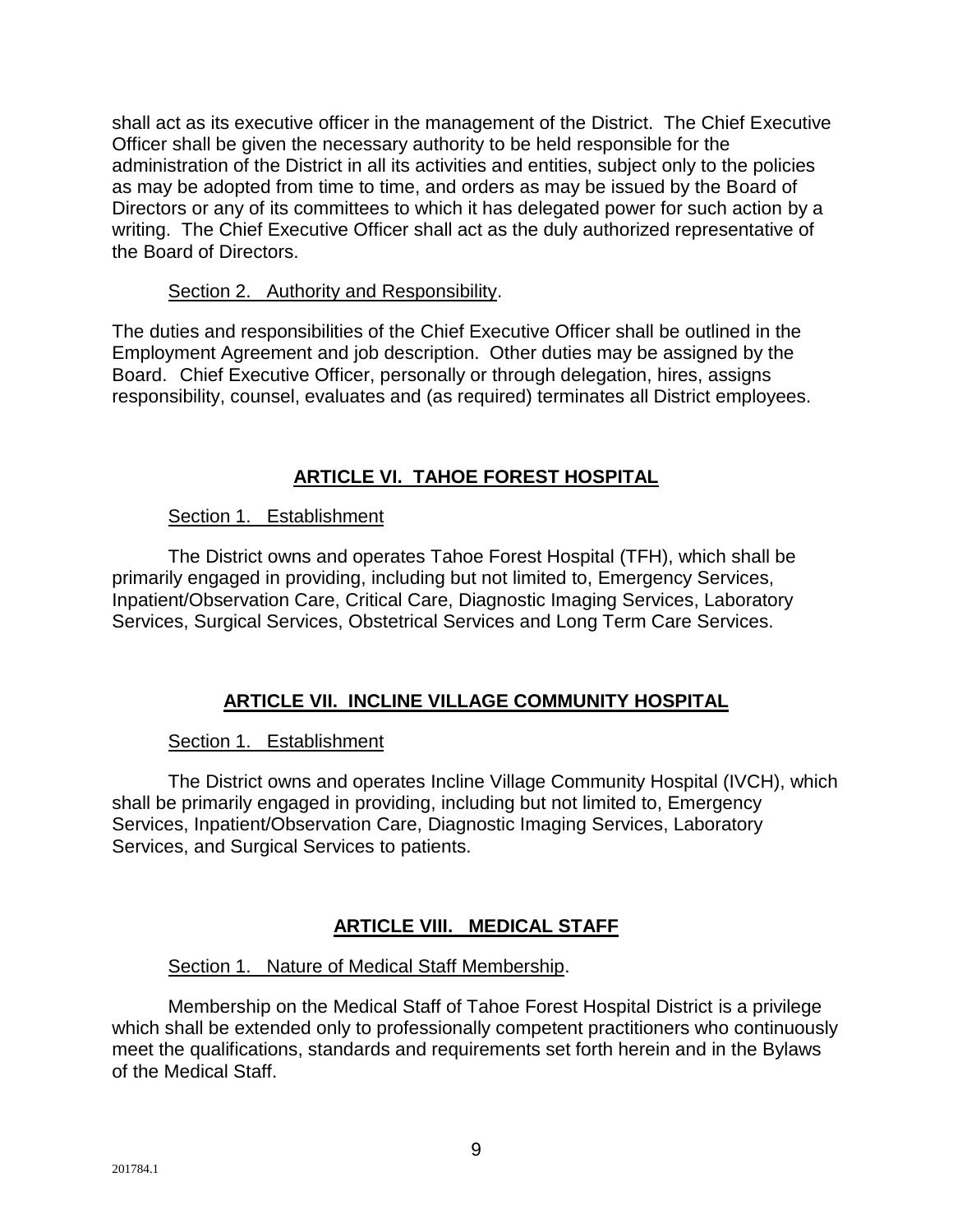shall act as its executive officer in the management of the District. The Chief Executive Officer shall be given the necessary authority to be held responsible for the administration of the District in all its activities and entities, subject only to the policies as may be adopted from time to time, and orders as may be issued by the Board of Directors or any of its committees to which it has delegated power for such action by a writing. The Chief Executive Officer shall act as the duly authorized representative of the Board of Directors.

#### Section 2. Authority and Responsibility.

The duties and responsibilities of the Chief Executive Officer shall be outlined in the Employment Agreement and job description. Other duties may be assigned by the Board. Chief Executive Officer, personally or through delegation, hires, assigns responsibility, counsel, evaluates and (as required) terminates all District employees.

## **ARTICLE VI. TAHOE FOREST HOSPITAL**

#### Section 1. Establishment

The District owns and operates Tahoe Forest Hospital (TFH), which shall be primarily engaged in providing, including but not limited to, Emergency Services, Inpatient/Observation Care, Critical Care, Diagnostic Imaging Services, Laboratory Services, Surgical Services, Obstetrical Services and Long Term Care Services.

#### **ARTICLE VII. INCLINE VILLAGE COMMUNITY HOSPITAL**

#### Section 1. Establishment

The District owns and operates Incline Village Community Hospital (IVCH), which shall be primarily engaged in providing, including but not limited to, Emergency Services, Inpatient/Observation Care, Diagnostic Imaging Services, Laboratory Services, and Surgical Services to patients.

## **ARTICLE VIII. MEDICAL STAFF**

#### Section 1. Nature of Medical Staff Membership.

Membership on the Medical Staff of Tahoe Forest Hospital District is a privilege which shall be extended only to professionally competent practitioners who continuously meet the qualifications, standards and requirements set forth herein and in the Bylaws of the Medical Staff.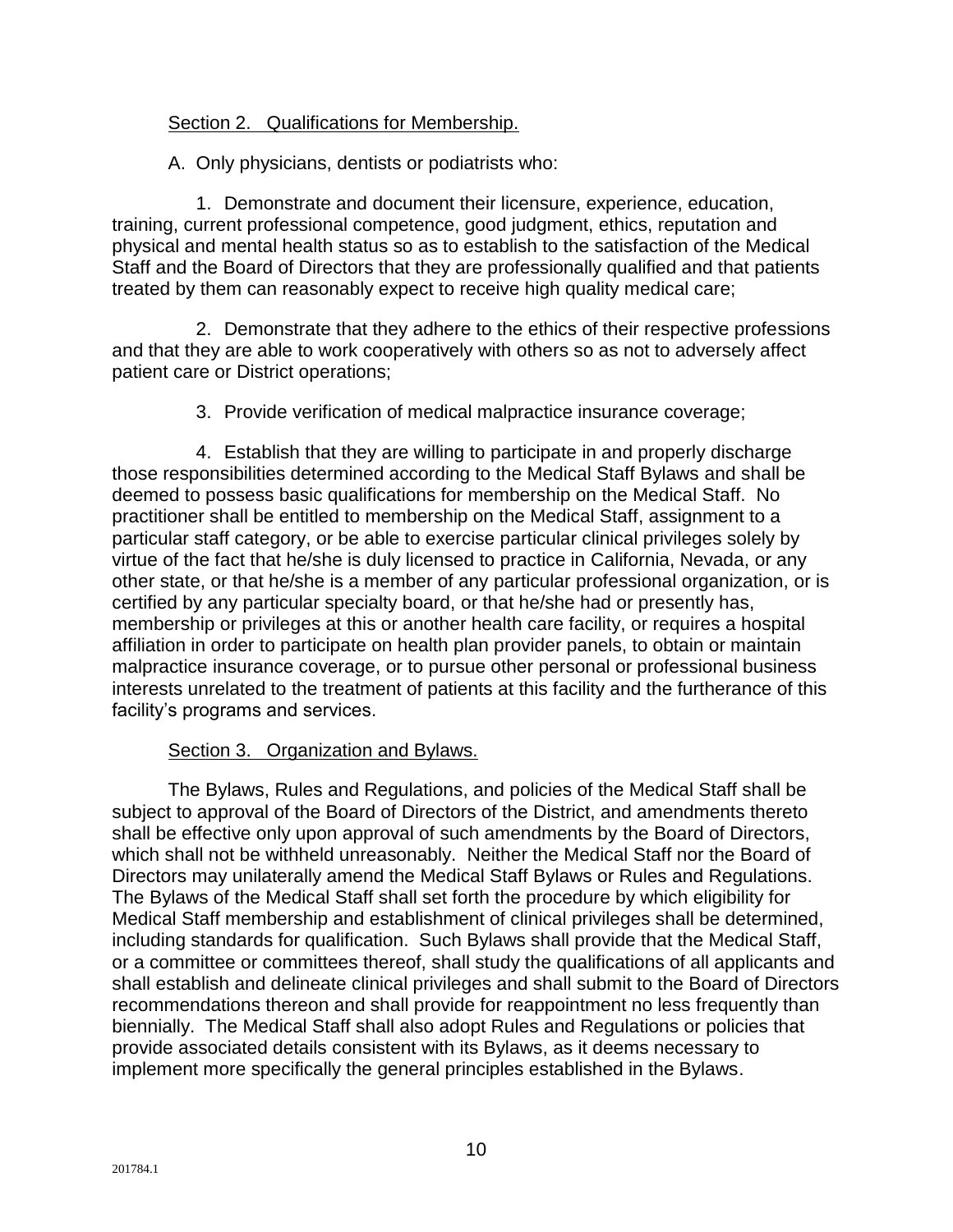#### Section 2. Qualifications for Membership.

A. Only physicians, dentists or podiatrists who:

1. Demonstrate and document their licensure, experience, education, training, current professional competence, good judgment, ethics, reputation and physical and mental health status so as to establish to the satisfaction of the Medical Staff and the Board of Directors that they are professionally qualified and that patients treated by them can reasonably expect to receive high quality medical care;

2. Demonstrate that they adhere to the ethics of their respective professions and that they are able to work cooperatively with others so as not to adversely affect patient care or District operations;

3. Provide verification of medical malpractice insurance coverage;

4. Establish that they are willing to participate in and properly discharge those responsibilities determined according to the Medical Staff Bylaws and shall be deemed to possess basic qualifications for membership on the Medical Staff. No practitioner shall be entitled to membership on the Medical Staff, assignment to a particular staff category, or be able to exercise particular clinical privileges solely by virtue of the fact that he/she is duly licensed to practice in California, Nevada, or any other state, or that he/she is a member of any particular professional organization, or is certified by any particular specialty board, or that he/she had or presently has, membership or privileges at this or another health care facility, or requires a hospital affiliation in order to participate on health plan provider panels, to obtain or maintain malpractice insurance coverage, or to pursue other personal or professional business interests unrelated to the treatment of patients at this facility and the furtherance of this facility's programs and services.

#### Section 3. Organization and Bylaws.

The Bylaws, Rules and Regulations, and policies of the Medical Staff shall be subject to approval of the Board of Directors of the District, and amendments thereto shall be effective only upon approval of such amendments by the Board of Directors, which shall not be withheld unreasonably. Neither the Medical Staff nor the Board of Directors may unilaterally amend the Medical Staff Bylaws or Rules and Regulations. The Bylaws of the Medical Staff shall set forth the procedure by which eligibility for Medical Staff membership and establishment of clinical privileges shall be determined, including standards for qualification. Such Bylaws shall provide that the Medical Staff, or a committee or committees thereof, shall study the qualifications of all applicants and shall establish and delineate clinical privileges and shall submit to the Board of Directors recommendations thereon and shall provide for reappointment no less frequently than biennially. The Medical Staff shall also adopt Rules and Regulations or policies that provide associated details consistent with its Bylaws, as it deems necessary to implement more specifically the general principles established in the Bylaws.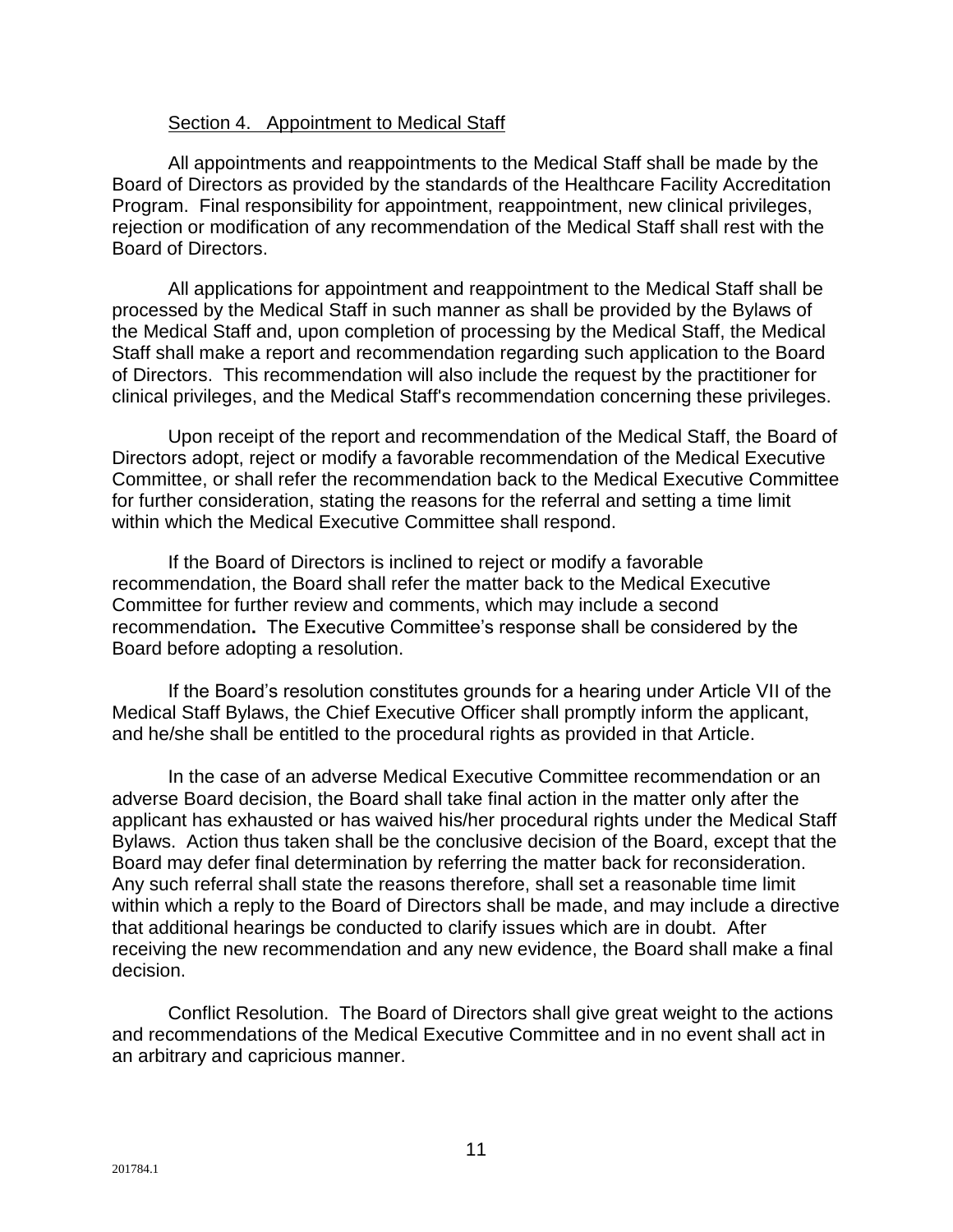#### Section 4. Appointment to Medical Staff

All appointments and reappointments to the Medical Staff shall be made by the Board of Directors as provided by the standards of the Healthcare Facility Accreditation Program. Final responsibility for appointment, reappointment, new clinical privileges, rejection or modification of any recommendation of the Medical Staff shall rest with the Board of Directors.

All applications for appointment and reappointment to the Medical Staff shall be processed by the Medical Staff in such manner as shall be provided by the Bylaws of the Medical Staff and, upon completion of processing by the Medical Staff, the Medical Staff shall make a report and recommendation regarding such application to the Board of Directors. This recommendation will also include the request by the practitioner for clinical privileges, and the Medical Staff's recommendation concerning these privileges.

Upon receipt of the report and recommendation of the Medical Staff, the Board of Directors adopt, reject or modify a favorable recommendation of the Medical Executive Committee, or shall refer the recommendation back to the Medical Executive Committee for further consideration, stating the reasons for the referral and setting a time limit within which the Medical Executive Committee shall respond.

If the Board of Directors is inclined to reject or modify a favorable recommendation, the Board shall refer the matter back to the Medical Executive Committee for further review and comments, which may include a second recommendation**.** The Executive Committee's response shall be considered by the Board before adopting a resolution.

If the Board's resolution constitutes grounds for a hearing under Article VII of the Medical Staff Bylaws, the Chief Executive Officer shall promptly inform the applicant, and he/she shall be entitled to the procedural rights as provided in that Article.

In the case of an adverse Medical Executive Committee recommendation or an adverse Board decision, the Board shall take final action in the matter only after the applicant has exhausted or has waived his/her procedural rights under the Medical Staff Bylaws. Action thus taken shall be the conclusive decision of the Board, except that the Board may defer final determination by referring the matter back for reconsideration. Any such referral shall state the reasons therefore, shall set a reasonable time limit within which a reply to the Board of Directors shall be made, and may include a directive that additional hearings be conducted to clarify issues which are in doubt. After receiving the new recommendation and any new evidence, the Board shall make a final decision.

Conflict Resolution. The Board of Directors shall give great weight to the actions and recommendations of the Medical Executive Committee and in no event shall act in an arbitrary and capricious manner.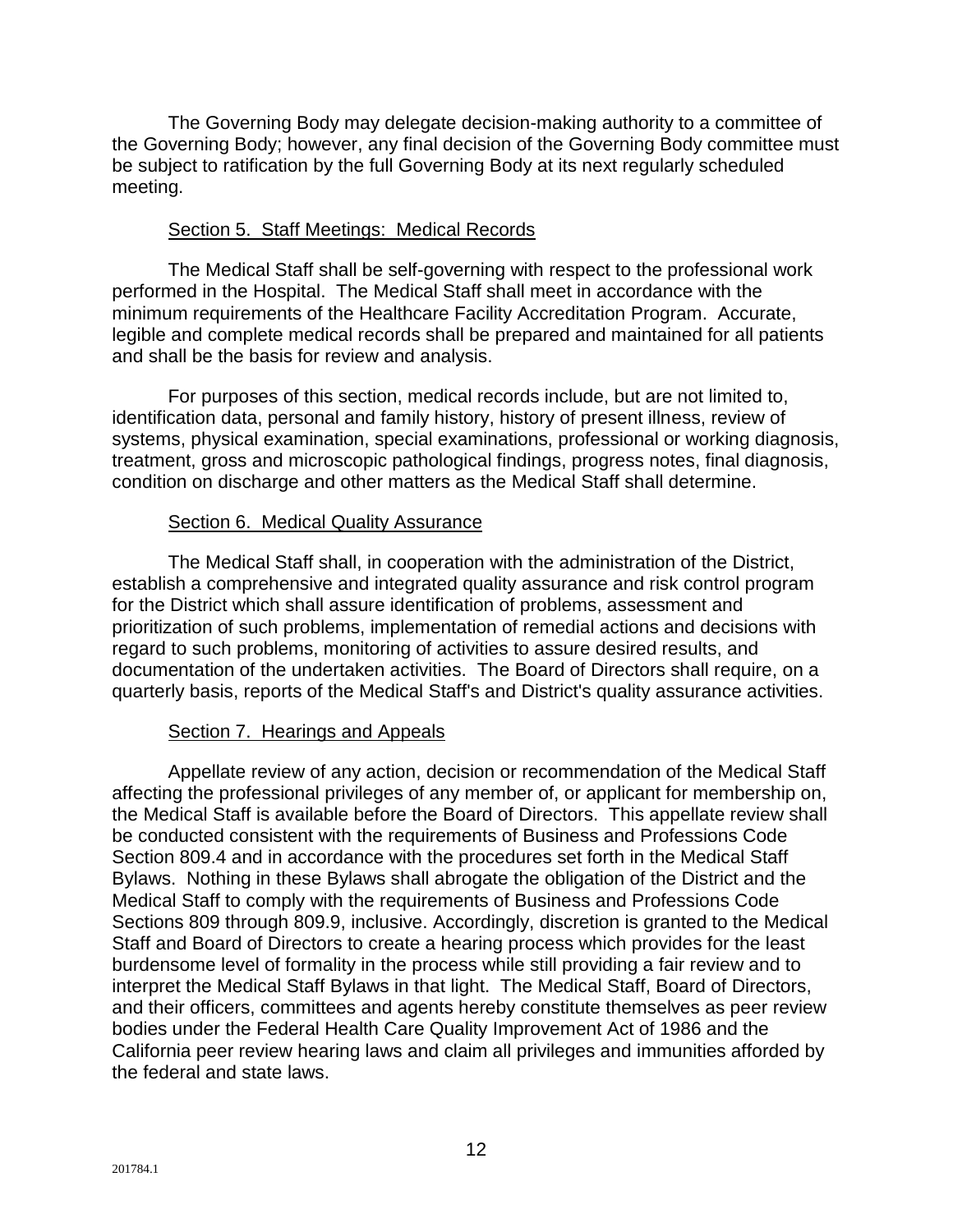The Governing Body may delegate decision-making authority to a committee of the Governing Body; however, any final decision of the Governing Body committee must be subject to ratification by the full Governing Body at its next regularly scheduled meeting.

#### Section 5. Staff Meetings: Medical Records

The Medical Staff shall be self-governing with respect to the professional work performed in the Hospital. The Medical Staff shall meet in accordance with the minimum requirements of the Healthcare Facility Accreditation Program. Accurate, legible and complete medical records shall be prepared and maintained for all patients and shall be the basis for review and analysis.

For purposes of this section, medical records include, but are not limited to, identification data, personal and family history, history of present illness, review of systems, physical examination, special examinations, professional or working diagnosis, treatment, gross and microscopic pathological findings, progress notes, final diagnosis, condition on discharge and other matters as the Medical Staff shall determine.

#### Section 6. Medical Quality Assurance

The Medical Staff shall, in cooperation with the administration of the District, establish a comprehensive and integrated quality assurance and risk control program for the District which shall assure identification of problems, assessment and prioritization of such problems, implementation of remedial actions and decisions with regard to such problems, monitoring of activities to assure desired results, and documentation of the undertaken activities. The Board of Directors shall require, on a quarterly basis, reports of the Medical Staff's and District's quality assurance activities.

#### Section 7. Hearings and Appeals

Appellate review of any action, decision or recommendation of the Medical Staff affecting the professional privileges of any member of, or applicant for membership on, the Medical Staff is available before the Board of Directors. This appellate review shall be conducted consistent with the requirements of Business and Professions Code Section 809.4 and in accordance with the procedures set forth in the Medical Staff Bylaws. Nothing in these Bylaws shall abrogate the obligation of the District and the Medical Staff to comply with the requirements of Business and Professions Code Sections 809 through 809.9, inclusive. Accordingly, discretion is granted to the Medical Staff and Board of Directors to create a hearing process which provides for the least burdensome level of formality in the process while still providing a fair review and to interpret the Medical Staff Bylaws in that light. The Medical Staff, Board of Directors, and their officers, committees and agents hereby constitute themselves as peer review bodies under the Federal Health Care Quality Improvement Act of 1986 and the California peer review hearing laws and claim all privileges and immunities afforded by the federal and state laws.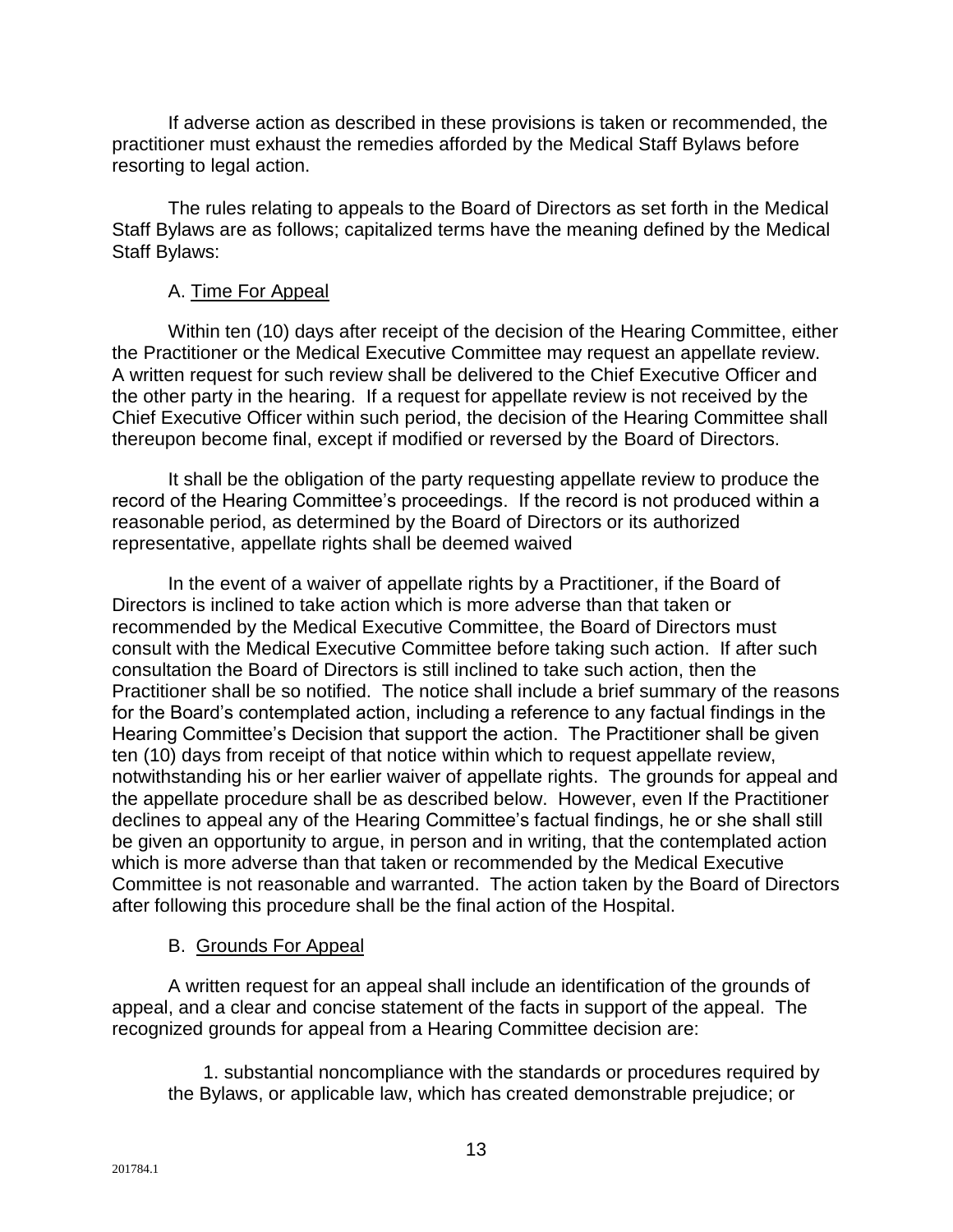If adverse action as described in these provisions is taken or recommended, the practitioner must exhaust the remedies afforded by the Medical Staff Bylaws before resorting to legal action.

The rules relating to appeals to the Board of Directors as set forth in the Medical Staff Bylaws are as follows; capitalized terms have the meaning defined by the Medical Staff Bylaws:

#### A. Time For Appeal

Within ten (10) days after receipt of the decision of the Hearing Committee, either the Practitioner or the Medical Executive Committee may request an appellate review. A written request for such review shall be delivered to the Chief Executive Officer and the other party in the hearing. If a request for appellate review is not received by the Chief Executive Officer within such period, the decision of the Hearing Committee shall thereupon become final, except if modified or reversed by the Board of Directors.

It shall be the obligation of the party requesting appellate review to produce the record of the Hearing Committee's proceedings. If the record is not produced within a reasonable period, as determined by the Board of Directors or its authorized representative, appellate rights shall be deemed waived

In the event of a waiver of appellate rights by a Practitioner, if the Board of Directors is inclined to take action which is more adverse than that taken or recommended by the Medical Executive Committee, the Board of Directors must consult with the Medical Executive Committee before taking such action. If after such consultation the Board of Directors is still inclined to take such action, then the Practitioner shall be so notified. The notice shall include a brief summary of the reasons for the Board's contemplated action, including a reference to any factual findings in the Hearing Committee's Decision that support the action. The Practitioner shall be given ten (10) days from receipt of that notice within which to request appellate review, notwithstanding his or her earlier waiver of appellate rights. The grounds for appeal and the appellate procedure shall be as described below. However, even If the Practitioner declines to appeal any of the Hearing Committee's factual findings, he or she shall still be given an opportunity to argue, in person and in writing, that the contemplated action which is more adverse than that taken or recommended by the Medical Executive Committee is not reasonable and warranted. The action taken by the Board of Directors after following this procedure shall be the final action of the Hospital.

#### B. Grounds For Appeal

A written request for an appeal shall include an identification of the grounds of appeal, and a clear and concise statement of the facts in support of the appeal. The recognized grounds for appeal from a Hearing Committee decision are:

1. substantial noncompliance with the standards or procedures required by the Bylaws, or applicable law, which has created demonstrable prejudice; or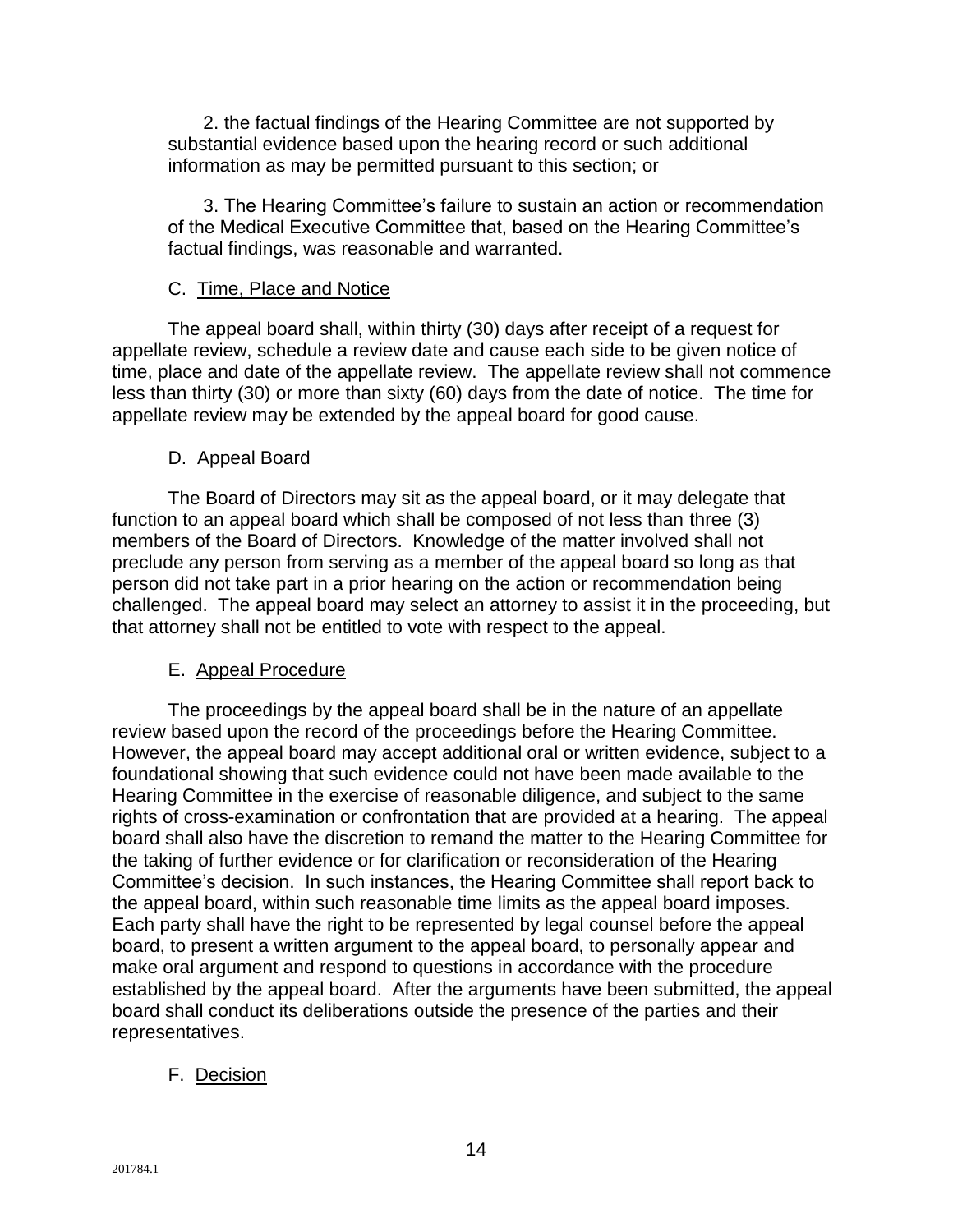2. the factual findings of the Hearing Committee are not supported by substantial evidence based upon the hearing record or such additional information as may be permitted pursuant to this section; or

3. The Hearing Committee's failure to sustain an action or recommendation of the Medical Executive Committee that, based on the Hearing Committee's factual findings, was reasonable and warranted.

#### C. Time, Place and Notice

The appeal board shall, within thirty (30) days after receipt of a request for appellate review, schedule a review date and cause each side to be given notice of time, place and date of the appellate review. The appellate review shall not commence less than thirty (30) or more than sixty (60) days from the date of notice. The time for appellate review may be extended by the appeal board for good cause.

#### D. Appeal Board

The Board of Directors may sit as the appeal board, or it may delegate that function to an appeal board which shall be composed of not less than three (3) members of the Board of Directors. Knowledge of the matter involved shall not preclude any person from serving as a member of the appeal board so long as that person did not take part in a prior hearing on the action or recommendation being challenged. The appeal board may select an attorney to assist it in the proceeding, but that attorney shall not be entitled to vote with respect to the appeal.

#### E. Appeal Procedure

The proceedings by the appeal board shall be in the nature of an appellate review based upon the record of the proceedings before the Hearing Committee. However, the appeal board may accept additional oral or written evidence, subject to a foundational showing that such evidence could not have been made available to the Hearing Committee in the exercise of reasonable diligence, and subject to the same rights of cross-examination or confrontation that are provided at a hearing. The appeal board shall also have the discretion to remand the matter to the Hearing Committee for the taking of further evidence or for clarification or reconsideration of the Hearing Committee's decision. In such instances, the Hearing Committee shall report back to the appeal board, within such reasonable time limits as the appeal board imposes. Each party shall have the right to be represented by legal counsel before the appeal board, to present a written argument to the appeal board, to personally appear and make oral argument and respond to questions in accordance with the procedure established by the appeal board. After the arguments have been submitted, the appeal board shall conduct its deliberations outside the presence of the parties and their representatives.

#### F. Decision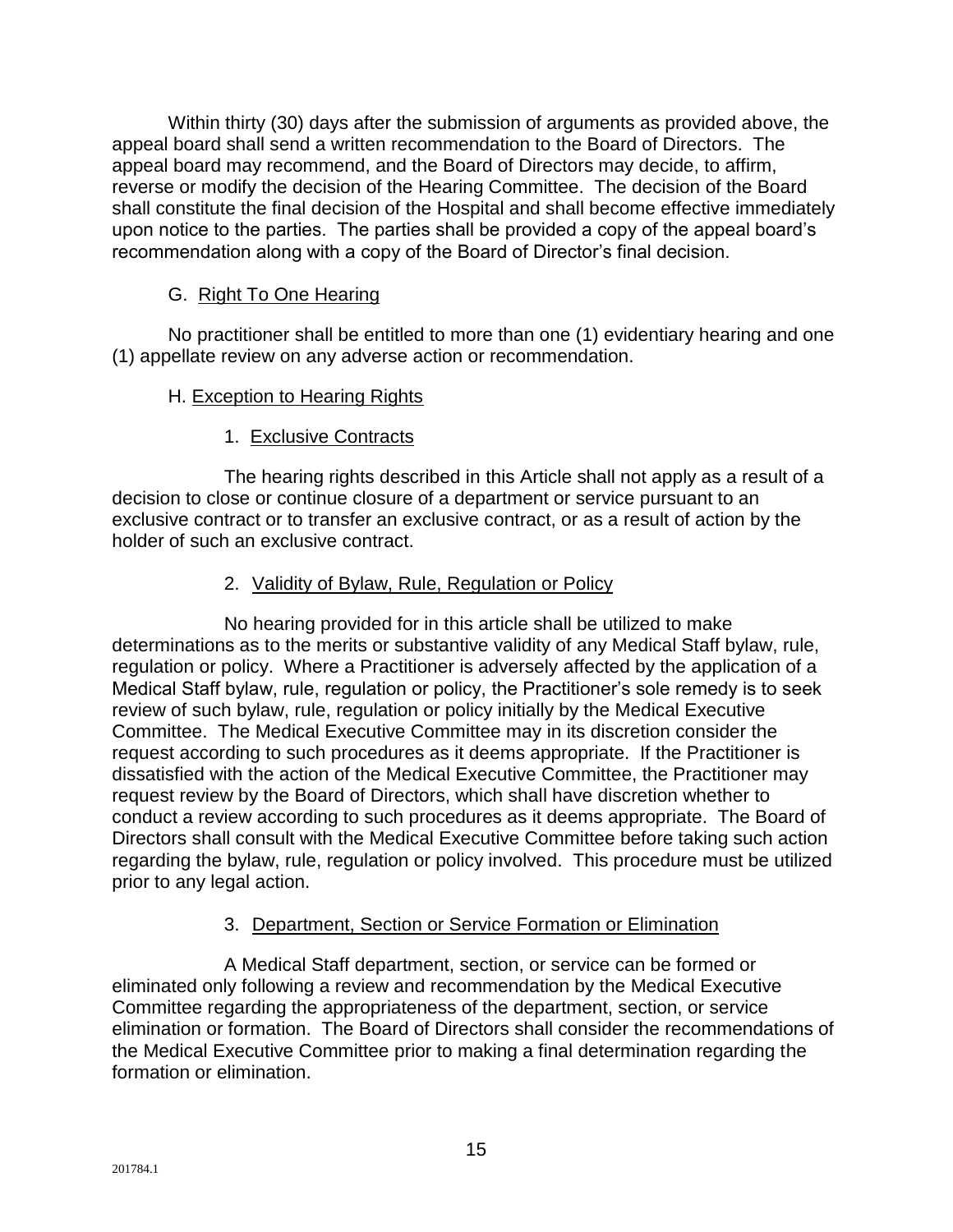Within thirty (30) days after the submission of arguments as provided above, the appeal board shall send a written recommendation to the Board of Directors. The appeal board may recommend, and the Board of Directors may decide, to affirm, reverse or modify the decision of the Hearing Committee. The decision of the Board shall constitute the final decision of the Hospital and shall become effective immediately upon notice to the parties. The parties shall be provided a copy of the appeal board's recommendation along with a copy of the Board of Director's final decision.

## G. Right To One Hearing

No practitioner shall be entitled to more than one (1) evidentiary hearing and one (1) appellate review on any adverse action or recommendation.

## H. Exception to Hearing Rights

## 1. Exclusive Contracts

The hearing rights described in this Article shall not apply as a result of a decision to close or continue closure of a department or service pursuant to an exclusive contract or to transfer an exclusive contract, or as a result of action by the holder of such an exclusive contract.

## 2. Validity of Bylaw, Rule, Regulation or Policy

No hearing provided for in this article shall be utilized to make determinations as to the merits or substantive validity of any Medical Staff bylaw, rule, regulation or policy. Where a Practitioner is adversely affected by the application of a Medical Staff bylaw, rule, regulation or policy, the Practitioner's sole remedy is to seek review of such bylaw, rule, regulation or policy initially by the Medical Executive Committee. The Medical Executive Committee may in its discretion consider the request according to such procedures as it deems appropriate. If the Practitioner is dissatisfied with the action of the Medical Executive Committee, the Practitioner may request review by the Board of Directors, which shall have discretion whether to conduct a review according to such procedures as it deems appropriate. The Board of Directors shall consult with the Medical Executive Committee before taking such action regarding the bylaw, rule, regulation or policy involved. This procedure must be utilized prior to any legal action.

#### 3. Department, Section or Service Formation or Elimination

A Medical Staff department, section, or service can be formed or eliminated only following a review and recommendation by the Medical Executive Committee regarding the appropriateness of the department, section, or service elimination or formation. The Board of Directors shall consider the recommendations of the Medical Executive Committee prior to making a final determination regarding the formation or elimination.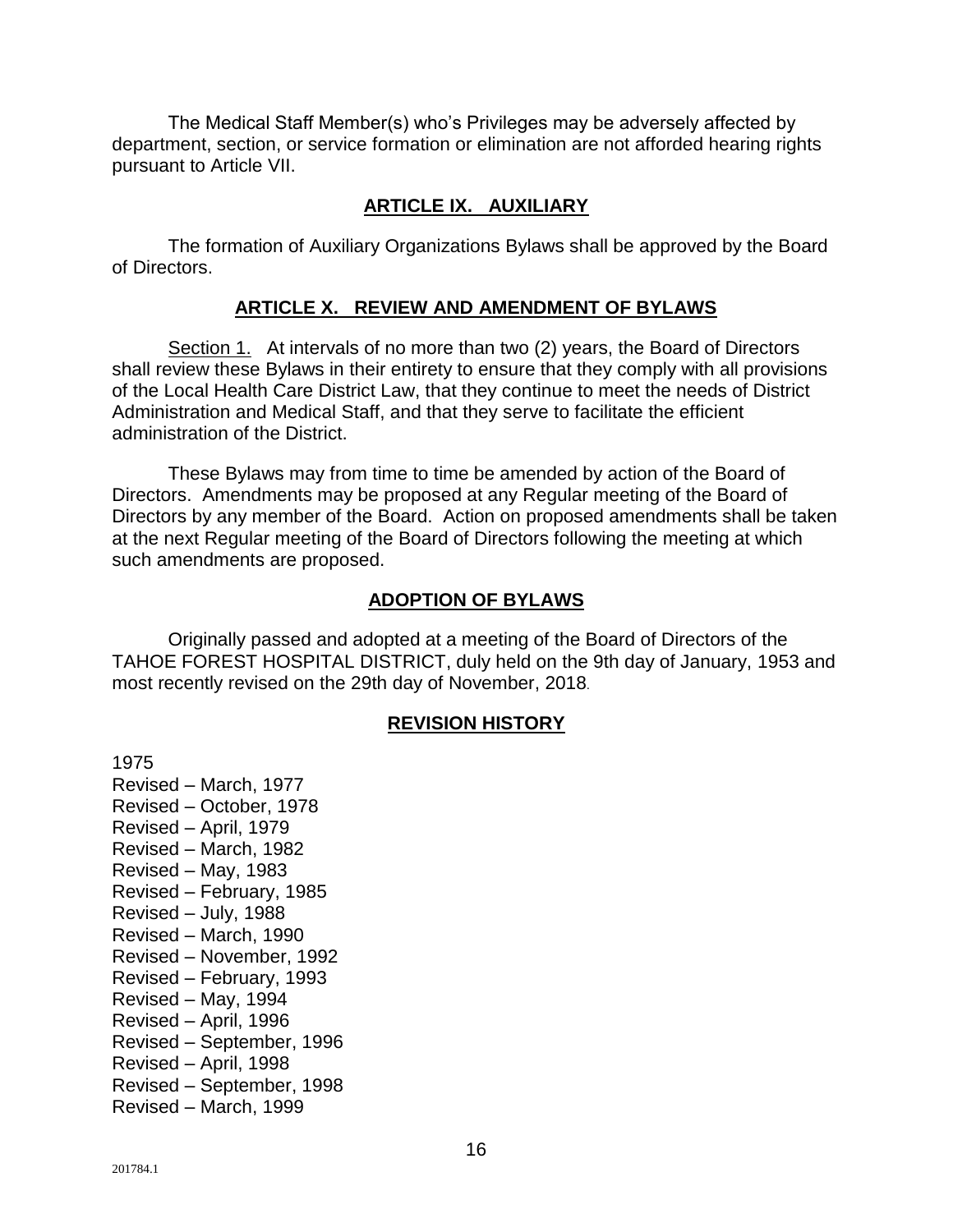The Medical Staff Member(s) who's Privileges may be adversely affected by department, section, or service formation or elimination are not afforded hearing rights pursuant to Article VII.

#### **ARTICLE IX. AUXILIARY**

The formation of Auxiliary Organizations Bylaws shall be approved by the Board of Directors.

#### **ARTICLE X. REVIEW AND AMENDMENT OF BYLAWS**

Section 1. At intervals of no more than two (2) years, the Board of Directors shall review these Bylaws in their entirety to ensure that they comply with all provisions of the Local Health Care District Law, that they continue to meet the needs of District Administration and Medical Staff, and that they serve to facilitate the efficient administration of the District.

These Bylaws may from time to time be amended by action of the Board of Directors. Amendments may be proposed at any Regular meeting of the Board of Directors by any member of the Board. Action on proposed amendments shall be taken at the next Regular meeting of the Board of Directors following the meeting at which such amendments are proposed.

#### **ADOPTION OF BYLAWS**

Originally passed and adopted at a meeting of the Board of Directors of the TAHOE FOREST HOSPITAL DISTRICT, duly held on the 9th day of January, 1953 and most recently revised on the 29th day of November, 2018.

#### **REVISION HISTORY**

1975 Revised – March, 1977 Revised – October, 1978 Revised – April, 1979 Revised – March, 1982 Revised – May, 1983 Revised – February, 1985 Revised – July, 1988 Revised – March, 1990 Revised – November, 1992 Revised – February, 1993 Revised – May, 1994 Revised – April, 1996 Revised – September, 1996 Revised – April, 1998 Revised – September, 1998 Revised – March, 1999